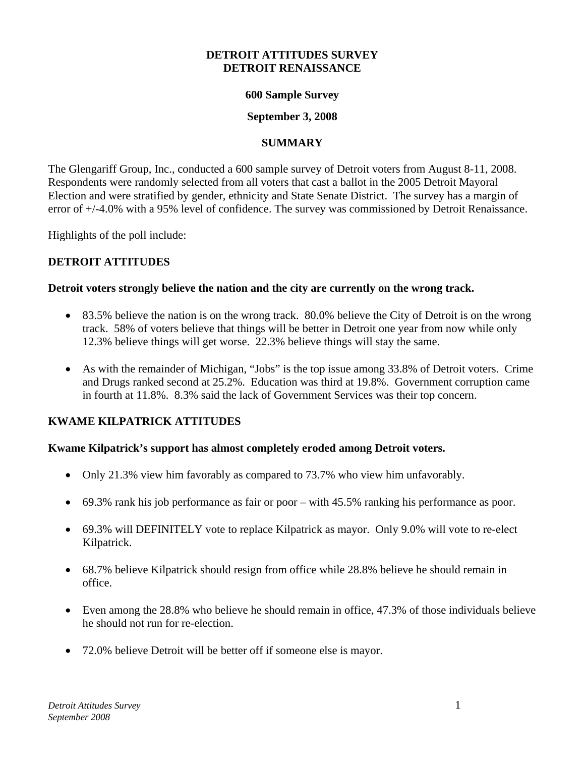#### **DETROIT ATTITUDES SURVEY DETROIT RENAISSANCE**

#### **600 Sample Survey**

## **September 3, 2008**

## **SUMMARY**

The Glengariff Group, Inc., conducted a 600 sample survey of Detroit voters from August 8-11, 2008. Respondents were randomly selected from all voters that cast a ballot in the 2005 Detroit Mayoral Election and were stratified by gender, ethnicity and State Senate District. The survey has a margin of error of +/-4.0% with a 95% level of confidence. The survey was commissioned by Detroit Renaissance.

Highlights of the poll include:

## **DETROIT ATTITUDES**

## **Detroit voters strongly believe the nation and the city are currently on the wrong track.**

- 83.5% believe the nation is on the wrong track. 80.0% believe the City of Detroit is on the wrong track. 58% of voters believe that things will be better in Detroit one year from now while only 12.3% believe things will get worse. 22.3% believe things will stay the same.
- As with the remainder of Michigan, "Jobs" is the top issue among 33.8% of Detroit voters. Crime and Drugs ranked second at 25.2%. Education was third at 19.8%. Government corruption came in fourth at 11.8%. 8.3% said the lack of Government Services was their top concern.

# **KWAME KILPATRICK ATTITUDES**

## **Kwame Kilpatrick's support has almost completely eroded among Detroit voters.**

- Only 21.3% view him favorably as compared to 73.7% who view him unfavorably.
- 69.3% rank his job performance as fair or poor with 45.5% ranking his performance as poor.
- 69.3% will DEFINITELY vote to replace Kilpatrick as mayor. Only 9.0% will vote to re-elect Kilpatrick.
- 68.7% believe Kilpatrick should resign from office while 28.8% believe he should remain in office.
- Even among the 28.8% who believe he should remain in office, 47.3% of those individuals believe he should not run for re-election.
- 72.0% believe Detroit will be better off if someone else is mayor.